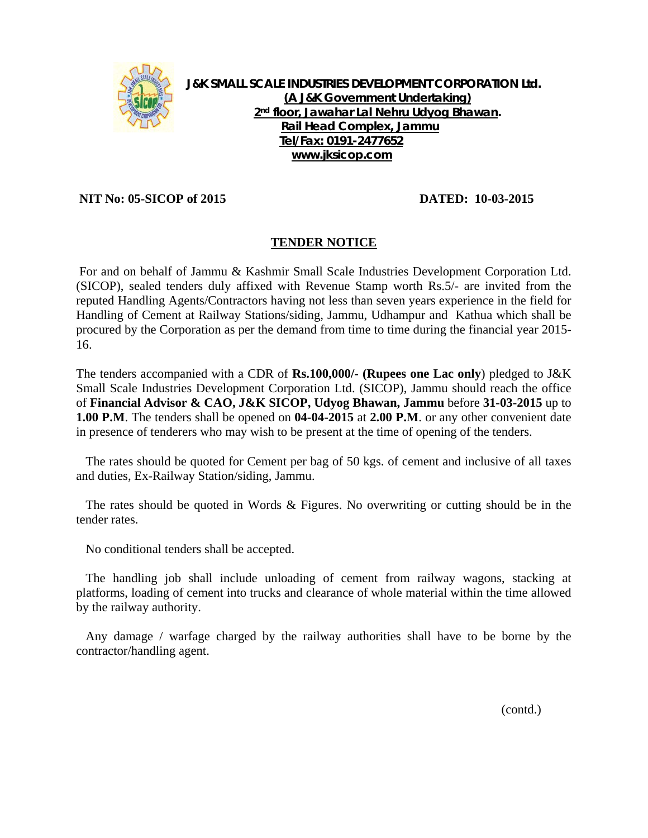

**J&K SMALL SCALE INDUSTRIES DEVELOPMENT CORPORATION Ltd. (A J&K Government Undertaking) 2nd floor, Jawahar Lal Nehru Udyog Bhawan. Rail Head Complex, Jammu Tel/Fax: 0191-2477652 www.jksicop.com**

 **NIT No: 05-SICOP of 2015 DATED: 10-03-2015**

## **TENDER NOTICE**

 For and on behalf of Jammu & Kashmir Small Scale Industries Development Corporation Ltd. (SICOP), sealed tenders duly affixed with Revenue Stamp worth Rs.5/- are invited from the reputed Handling Agents/Contractors having not less than seven years experience in the field for Handling of Cement at Railway Stations/siding, Jammu, Udhampur and Kathua which shall be procured by the Corporation as per the demand from time to time during the financial year 2015- 16.

The tenders accompanied with a CDR of **Rs.100,000/- (Rupees one Lac only**) pledged to J&K Small Scale Industries Development Corporation Ltd. (SICOP), Jammu should reach the office of **Financial Advisor & CAO, J&K SICOP, Udyog Bhawan, Jammu** before **31-03-2015** up to **1.00 P.M**. The tenders shall be opened on **04-04-2015** at **2.00 P.M**. or any other convenient date in presence of tenderers who may wish to be present at the time of opening of the tenders.

 The rates should be quoted for Cement per bag of 50 kgs. of cement and inclusive of all taxes and duties, Ex-Railway Station/siding, Jammu.

 The rates should be quoted in Words & Figures. No overwriting or cutting should be in the tender rates.

No conditional tenders shall be accepted.

 The handling job shall include unloading of cement from railway wagons, stacking at platforms, loading of cement into trucks and clearance of whole material within the time allowed by the railway authority.

 Any damage / warfage charged by the railway authorities shall have to be borne by the contractor/handling agent.

(contd.)